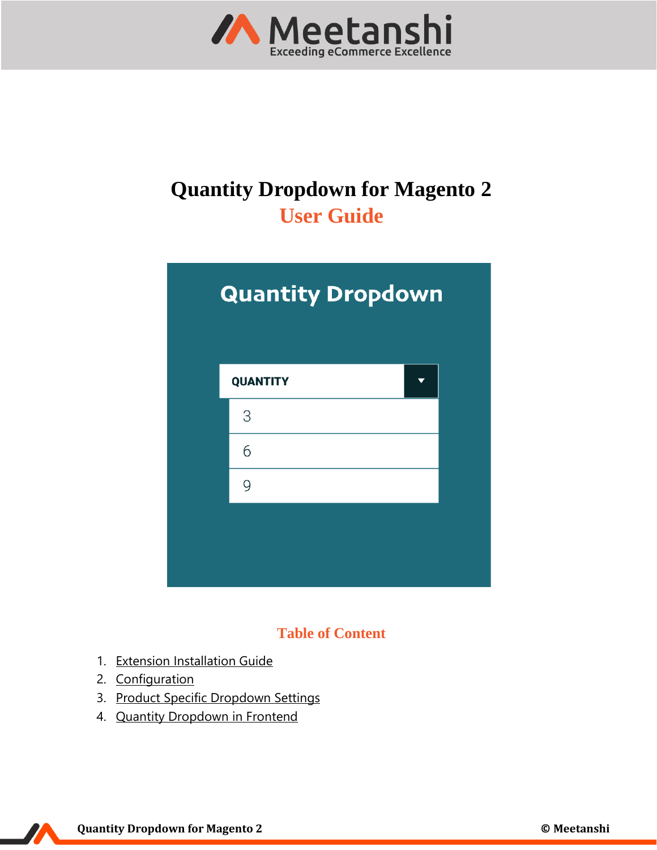

# **Quantity Dropdown for Magento 2 User Guide**



# **Table of Content**

- 1. [Extension Installation Guide](#page-1-0)
- 2. [Configuration](#page-2-0)
- 3. [Product Specific Dropdown](#page-3-0) Settings
- 4. [Quantity Dropdown](#page-4-0) in Frontend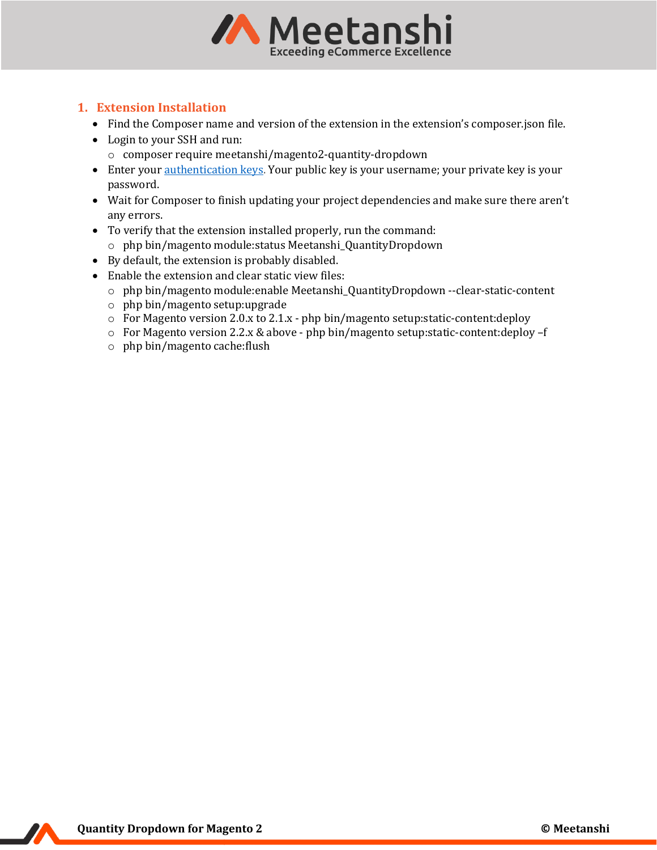

#### <span id="page-1-0"></span>**1. Extension Installation**

- Find the Composer name and version of the extension in the extension's composer.json file.
- Login to your SSH and run: o composer require meetanshi/magento2-quantity-dropdown
- Enter your *authentication keys*. Your public key is your username; your private key is your password.
- Wait for Composer to finish updating your project dependencies and make sure there aren't any errors.
- To verify that the extension installed properly, run the command: o php bin/magento module:status Meetanshi\_QuantityDropdown
- By default, the extension is probably disabled.
- Enable the extension and clear static view files:
	- $\circ$  php bin/magento module: enable Meetanshi\_QuantityDropdown --clear-static-content
	- o php bin/magento setup:upgrade
	- o For Magento version 2.0.x to 2.1.x php bin/magento setup:static-content:deploy
	- o For Magento version 2.2.x & above php bin/magento setup:static-content:deploy –f
	- o php bin/magento cache:flush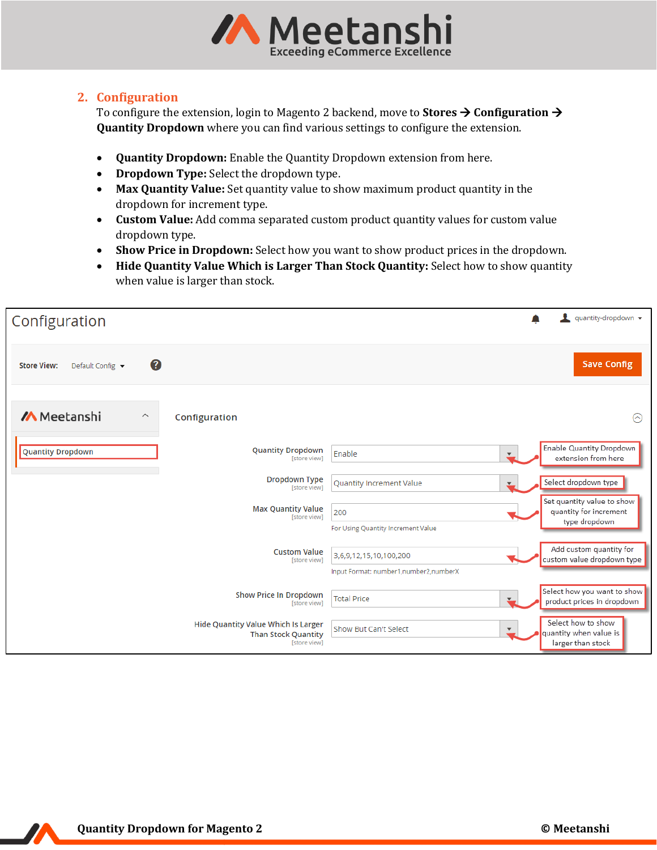

# <span id="page-2-0"></span>**2. Configuration**

To configure the extension, login to Magento 2 backend, move to **Stores** → **Configuration** → **Quantity Dropdown** where you can find various settings to configure the extension.

- **Quantity Dropdown:** Enable the Quantity Dropdown extension from here.
- **Dropdown Type:** Select the dropdown type.
- **Max Quantity Value:** Set quantity value to show maximum product quantity in the dropdown for increment type.
- **Custom Value:** Add comma separated custom product quantity values for custom value dropdown type.
- **Show Price in Dropdown:** Select how you want to show product prices in the dropdown.
- **Hide Quantity Value Which is Larger Than Stock Quantity:** Select how to show quantity when value is larger than stock.

| Configuration                                                                            | quantity-dropdown ▼                                                                                                      |
|------------------------------------------------------------------------------------------|--------------------------------------------------------------------------------------------------------------------------|
| 0<br><b>Store View:</b><br>Default Config v                                              | <b>Save Config</b>                                                                                                       |
| <b>/A</b> Meetanshi<br>$\widehat{\phantom{a}}$<br>Configuration                          | $\odot$                                                                                                                  |
| <b>Quantity Dropdown</b><br><b>Quantity Dropdown</b><br>[store view]                     | Enable Quantity Dropdown<br>Enable<br>工<br>extension from here                                                           |
| <b>Dropdown Type</b><br>[store view]                                                     | Select dropdown type<br>Quantity Increment Value<br>$\overline{\phantom{a}}$                                             |
| <b>Max Quantity Value</b><br>[store view]                                                | Set quantity value to show<br>quantity for increment<br>200<br>type dropdown<br>For Using Quantity Increment Value       |
| <b>Custom Value</b><br>[store view]                                                      | Add custom quantity for<br>3,6,9,12,15,10,100,200<br>custom value dropdown type<br>Input Format: number1,number2,numberX |
| <b>Show Price In Dropdown</b><br>[store view]                                            | Select how you want to show<br><b>Total Price</b><br>$\overline{\mathbf{v}}$<br>product prices in dropdown               |
| <b>Hide Quantity Value Which Is Larger</b><br><b>Than Stock Quantity</b><br>[store view] | Select how to show<br>Show But Can't Select<br>$\boldsymbol{\mathrm{v}}$<br>quantity when value is<br>larger than stock  |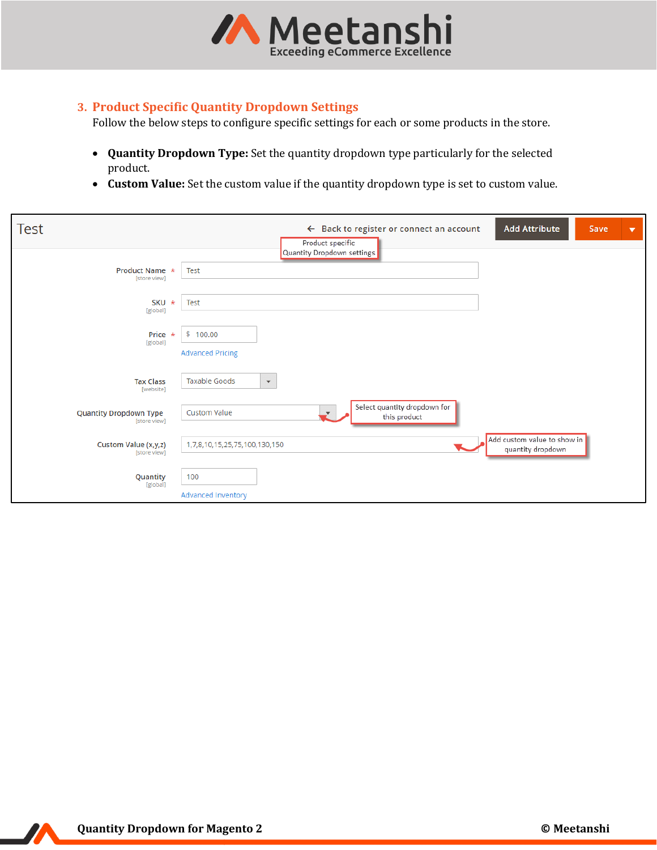

#### <span id="page-3-0"></span>**3. Product Specific Quantity Dropdown Settings**

Follow the below steps to configure specific settings for each or some products in the store.

- **Quantity Dropdown Type:** Set the quantity dropdown type particularly for the selected product.
- **Custom Value:** Set the custom value if the quantity dropdown type is set to custom value.

| <b>Test</b>                                   | $\leftarrow$ Back to register or connect an account<br><b>Add Attribute</b><br>Save<br>$\overline{\mathbf{v}}$<br>Product specific |
|-----------------------------------------------|------------------------------------------------------------------------------------------------------------------------------------|
|                                               | Quantity Dropdown settings                                                                                                         |
| Product Name *<br>[store view]                | Test                                                                                                                               |
| SKU *<br>[global]                             | Test                                                                                                                               |
| Price $*$<br>[global]                         | \$100.00                                                                                                                           |
|                                               | <b>Advanced Pricing</b>                                                                                                            |
| <b>Tax Class</b><br>[website]                 | <b>Taxable Goods</b><br>$\blacktriangledown$                                                                                       |
| <b>Quantity Dropdown Type</b><br>[store view] | Select quantity dropdown for<br><b>Custom Value</b><br>this product                                                                |
| Custom Value (x,y,z)<br>[store view]          | Add custom value to show in<br>1,7,8,10,15,25,75,100,130,150<br>quantity dropdown                                                  |
| Quantity<br>[global]                          | 100                                                                                                                                |
|                                               | Advanced Inventory                                                                                                                 |

77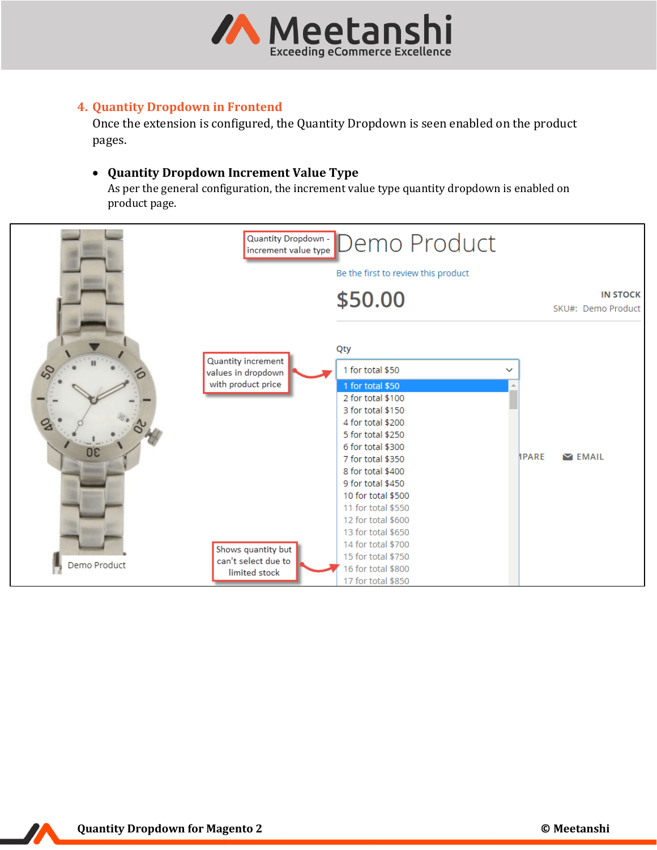

#### <span id="page-4-0"></span>**4. Quantity Dropdown in Frontend**

Once the extension is configured, the Quantity Dropdown is seen enabled on the product pages.

#### • **Quantity Dropdown Increment Value Type**

As per the general configuration, the increment value type quantity dropdown is enabled on product page.